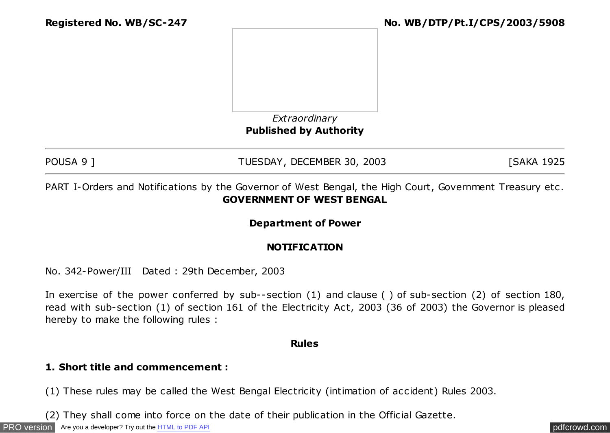



# **Published by Authority**

POUSA 9 ] TUESDAY, DECEMBER 30, 2003 [SAKA 1925]

PART I-Orders and Notifications by the Governor of West Bengal, the High Court, Government Treasury etc . **GOVERNMENT OF WEST BENGAL**

## **Department of Power**

## **NOTIFICATION**

No. 342-Power/III Dated : 29th December, 2003

In exercise of the power conferred by sub--section (1) and clause ( ) of sub-section (2) of section 180, read with sub-section (1) of section 161 of the Electricity Act, 2003 (36 of 2003) the Governor is pleased hereby to make the following rules :

#### **Rules**

## **1. Short title and commencement :**

(1) These rules may be called the West Bengal Electricity (intimation of accident) Rules 2003.

(2) They shall come into force on the date of their publication in the Official Gazette.

[PRO version](http://pdfcrowd.com/customize/) Are you a developer? Try out th[e HTML to PDF API](http://pdfcrowd.com/html-to-pdf-api/?ref=pdf) provided and the example of the HTML to PDF API posterior and the example of the example of the example of the example of the example of the example of the examp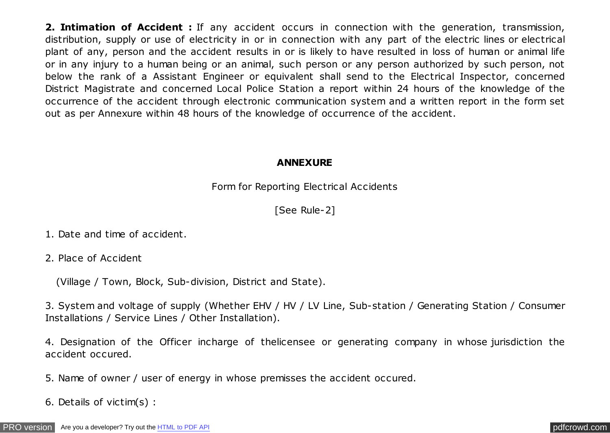**2. Intimation of Accident :** If any accident occurs in connection with the generation, transmission, distribution, supply or use of electricity in or in connection with any part of the electric lines or electrical plant of any, person and the accident results in or is likely to have resulted in loss of human or animal life or in any injury to a human being or an animal, such person or any person authorized by such person, not below the rank of a Assistant Engineer or equivalent shall send to the Electrical Inspector, concerned District Magistrate and concerned Local Police Station a report within 24 hours of the knowledge of the occurrence of the accident through electronic communication system and a written report in the form set out as per Annexure within 48 hours of the knowledge of occurrence of the accident.

## **ANNEXURE**

Form for Reporting Electrical Accidents

## [See Rule-2]

- 1. Date and time of accident.
- 2. Place of Accident

(Village / Town, Block, Sub-division, District and State).

3. System and voltage of supply (Whether EHV / HV / LV Line, Sub-station / Generating Station / Consumer Installations / Service Lines / Other Installation).

4. Designation of the Officer incharge of thelicensee or generating company in whose jurisdiction the accident occured.

5. Name of owner / user of energy in whose premisses the accident occured.

6. Details of victim(s) :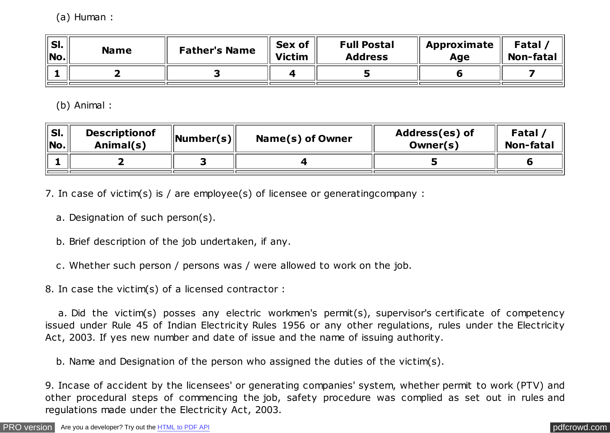(a) Human :

| $^{\prime\prime}$ SI.<br>$^{\prime}$  No. $_{\rm I}$ | <b>Name</b> | <b>Father's Name</b> | Sex of<br><b>Victim</b> | <b>Full Postal</b><br><b>Address</b> | <b>Approximate</b><br>Age | <b>Fatal</b><br><b>Non-fatal</b> |
|------------------------------------------------------|-------------|----------------------|-------------------------|--------------------------------------|---------------------------|----------------------------------|
|                                                      |             |                      |                         |                                      |                           |                                  |

(b) Animal :

| SI.<br><sup>∖</sup> No.⊹ | <b>Descriptionof</b><br>Animal(s) | $\ $ Number(s) $\ $ | Name(s) of Owner | Address(es) of<br>Owner(s) | Fatal<br><b>Non-fatal</b> |
|--------------------------|-----------------------------------|---------------------|------------------|----------------------------|---------------------------|
|                          |                                   |                     |                  |                            |                           |

7. In case of victim(s) is / are employee(s) of licensee or generatingcompany :

a. Designation of such person(s).

b. Brief description of the job undertaken, if any.

c. Whether such person / persons was / were allowed to work on the job.

8. In case the victim(s) of a licensed contractor :

 a. Did the victim(s) posses any electric workmen's permit(s), supervisor's certificate of competency issued under Rule 45 of Indian Electricity Rules 1956 or any other regulations, rules under the Electricity Act, 2003. If yes new number and date of issue and the name of issuing authority.

b. Name and Designation of the person who assigned the duties of the victim(s).

9. Incase of accident by the licensees' or generating companies' system, whether permit to work (PTV) and other procedural steps of commencing the job, safety procedure was complied as set out in rules and regulations made under the Electricity Act, 2003.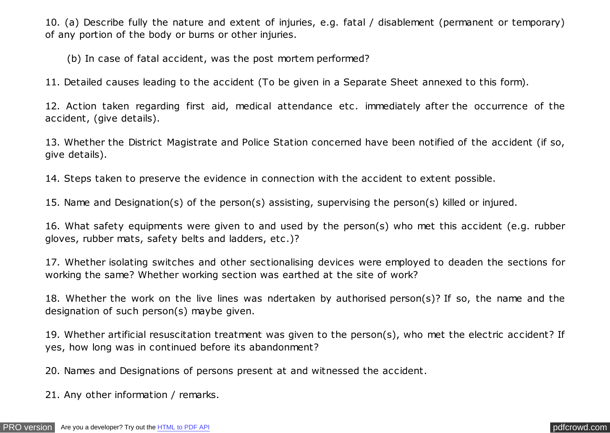10. (a) Describe fully the nature and extent of injuries, e.g. fatal / disablement (permanent or temporary) of any portion of the body or burns or other injuries.

(b) In case of fatal accident, was the post mortem performed?

11. Detailed causes leading to the accident (To be given in a Separate Sheet annexed to this form).

12. Action taken regarding first aid, medical attendance etc . immediately after the occurrence of the accident, (give details).

13. Whether the District Magistrate and Police Station concerned have been notified of the accident (if so, give details).

14. Steps taken to preserve the evidence in connection with the accident to extent possible.

15. Name and Designation(s) of the person(s) assisting, supervising the person(s) killed or injured.

16. What safety equipments were given to and used by the person(s) who met this accident (e.g. rubber gloves, rubber mats, safety belts and ladders, etc .)?

17. Whether isolating switches and other sectionalising devices were employed to deaden the sections for working the same? Whether working section was earthed at the site of work?

18. Whether the work on the live lines was ndertaken by authorised person(s)? If so, the name and the designation of such person(s) maybe given.

19. Whether artificial resuscitation treatment was given to the person(s), who met the electric accident? If yes, how long was in continued before its abandonment?

20. Names and Designations of persons present at and witnessed the accident.

21. Any other information / remarks.